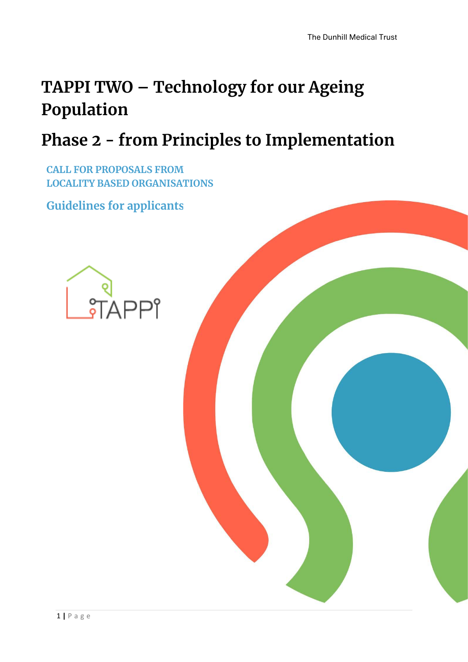# **TAPPI TWO – Technology for our Ageing Population**

# **Phase 2 - from Principles to Implementation**

**CALL FOR PROPOSALS FROM LOCALITY BASED ORGANISATIONS**

**Guidelines for applicants** 

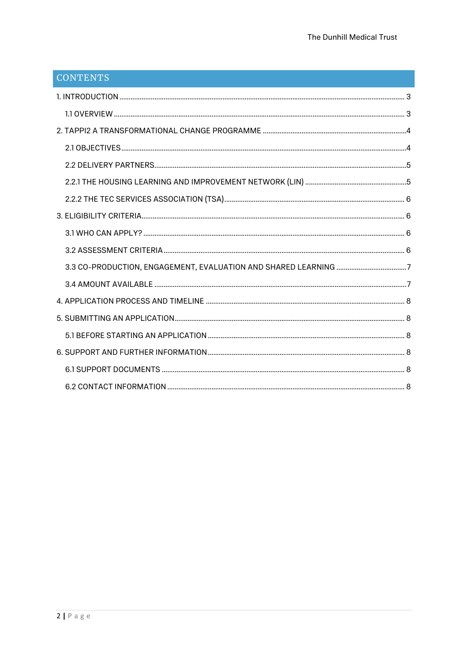| CONTENTS |  |
|----------|--|
|          |  |
|          |  |
|          |  |
|          |  |
|          |  |
|          |  |
|          |  |
|          |  |
|          |  |
|          |  |
|          |  |
|          |  |
|          |  |
|          |  |
|          |  |
|          |  |
|          |  |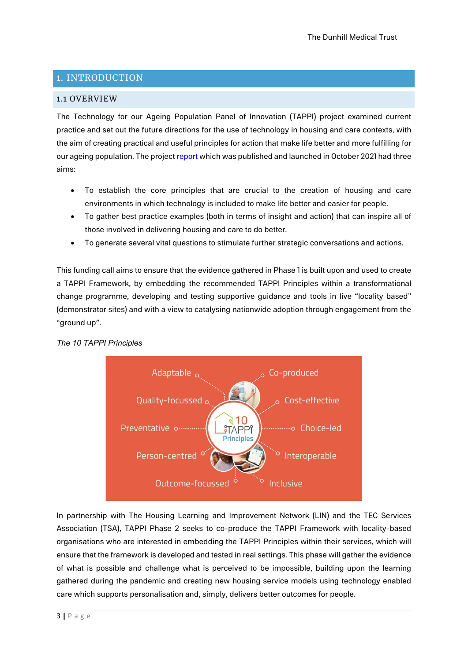# <span id="page-2-0"></span>1. INTRODUCTION

## <span id="page-2-1"></span>1.1 OVERVIEW

The Technology for our Ageing Population Panel of Innovation (TAPPI) project examined current practice and set out the future directions for the use of technology in housing and care contexts, with the aim of creating practical and useful principles for action that make life better and more fulfilling for our ageing population. The project [report](https://www.housinglin.org.uk/Topics/browse/Design-building/tappi/) which was published and launched in October 2021 had three aims:

- To establish the core principles that are crucial to the creation of housing and care environments in which technology is included to make life better and easier for people.
- To gather best practice examples (both in terms of insight and action) that can inspire all of those involved in delivering housing and care to do better.
- To generate several vital questions to stimulate further strategic conversations and actions.

This funding call aims to ensure that the evidence gathered in Phase 1 is built upon and used to create a TAPPI Framework, by embedding the recommended TAPPI Principles within a transformational change programme, developing and testing supportive guidance and tools in live "locality based" (demonstrator sites) and with a view to catalysing nationwide adoption through engagement from the "ground up".



*The 10 TAPPI Principles*

In partnership with The Housing Learning and Improvement Network (LIN) and the TEC Services Association (TSA), TAPPI Phase 2 seeks to co-produce the TAPPI Framework with locality-based organisations who are interested in embedding the TAPPI Principles within their services, which will ensure that the framework is developed and tested in real settings. This phase will gather the evidence of what is possible and challenge what is perceived to be impossible, building upon the learning gathered during the pandemic and creating new housing service models using technology enabled care which supports personalisation and, simply, delivers better outcomes for people.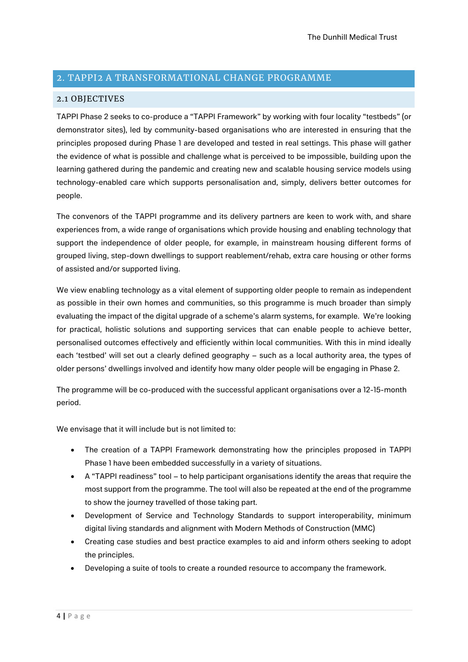## <span id="page-3-0"></span>2. TAPPI2 A TRANSFORMATIONAL CHANGE PROGRAMME

### <span id="page-3-1"></span>2.1 OBJECTIVES

TAPPI Phase 2 seeks to co-produce a "TAPPI Framework" by working with four locality "testbeds" (or demonstrator sites), led by community-based organisations who are interested in ensuring that the principles proposed during Phase 1 are developed and tested in real settings. This phase will gather the evidence of what is possible and challenge what is perceived to be impossible, building upon the learning gathered during the pandemic and creating new and scalable housing service models using technology-enabled care which supports personalisation and, simply, delivers better outcomes for people.

The convenors of the TAPPI programme and its delivery partners are keen to work with, and share experiences from, a wide range of organisations which provide housing and enabling technology that support the independence of older people, for example, in mainstream housing different forms of grouped living, step-down dwellings to support reablement/rehab, extra care housing or other forms of assisted and/or supported living.

We view enabling technology as a vital element of supporting older people to remain as independent as possible in their own homes and communities, so this programme is much broader than simply evaluating the impact of the digital upgrade of a scheme's alarm systems, for example. We're looking for practical, holistic solutions and supporting services that can enable people to achieve better, personalised outcomes effectively and efficiently within local communities. With this in mind ideally each 'testbed' will set out a clearly defined geography – such as a local authority area, the types of older persons' dwellings involved and identify how many older people will be engaging in Phase 2.

The programme will be co-produced with the successful applicant organisations over a 12-15-month period.

We envisage that it will include but is not limited to:

- The creation of a TAPPI Framework demonstrating how the principles proposed in TAPPI Phase 1 have been embedded successfully in a variety of situations.
- A "TAPPI readiness" tool to help participant organisations identify the areas that require the most support from the programme. The tool will also be repeated at the end of the programme to show the journey travelled of those taking part.
- Development of Service and Technology Standards to support interoperability, minimum digital living standards and alignment with Modern Methods of Construction (MMC)
- Creating case studies and best practice examples to aid and inform others seeking to adopt the principles.
- Developing a suite of tools to create a rounded resource to accompany the framework.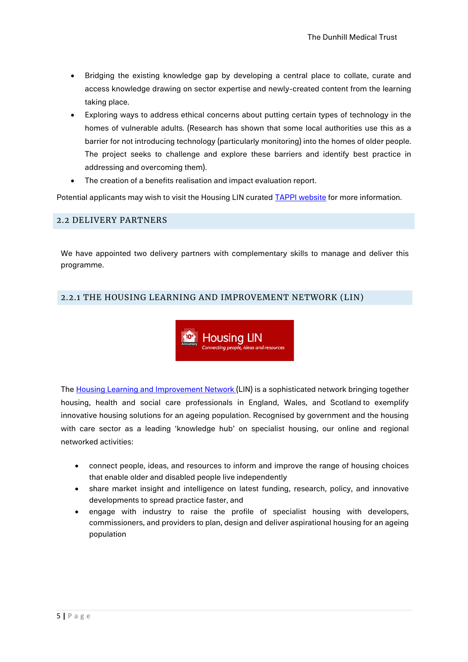- Bridging the existing knowledge gap by developing a central place to collate, curate and access knowledge drawing on sector expertise and newly-created content from the learning taking place.
- Exploring ways to address ethical concerns about putting certain types of technology in the homes of vulnerable adults. (Research has shown that some local authorities use this as a barrier for not introducing technology (particularly monitoring) into the homes of older people. The project seeks to challenge and explore these barriers and identify best practice in addressing and overcoming them).
- The creation of a benefits realisation and impact evaluation report.

Potential applicants may wish to visit the Housing LIN curated **[TAPPI website](https://www.housinglin.org.uk/TAPPI)** for more information.

#### <span id="page-4-0"></span>2.2 DELIVERY PARTNERS

We have appointed two delivery partners with complementary skills to manage and deliver this programme.

### <span id="page-4-1"></span>2.2.1 THE HOUSING LEARNING AND IMPROVEMENT NETWORK (LIN)



The [Housing Learning and Improvement Network \(](https://www.housinglin.org.uk/)LIN) is a sophisticated network bringing together housing, health and social care professionals in England, Wales, and Scotland to exemplify innovative housing solutions for an ageing population. Recognised by government and the housing with care sector as a leading 'knowledge hub' on specialist housing, our online and regional networked activities:

- connect people, ideas, and resources to inform and improve the range of housing choices that enable older and disabled people live independently
- share market insight and intelligence on latest funding, research, policy, and innovative developments to spread practice faster, and
- engage with industry to raise the profile of specialist housing with developers, commissioners, and providers to plan, design and deliver aspirational housing for an ageing population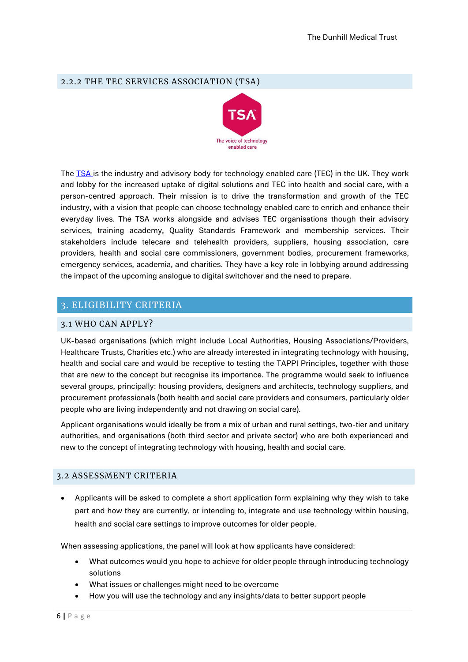## <span id="page-5-0"></span>2.2.2 THE TEC SERVICES ASSOCIATION (TSA)



The **TSA** is the industry and advisory body for technology enabled care (TEC) in the UK. They work and lobby for the increased uptake of digital solutions and TEC into health and social care, with a person-centred approach. Their mission is to drive the transformation and growth of the TEC industry, with a vision that people can choose technology enabled care to enrich and enhance their everyday lives. The TSA works alongside and advises TEC organisations though their advisory services, training academy, Quality Standards Framework and membership services. Their stakeholders include telecare and telehealth providers, suppliers, housing association, care providers, health and social care commissioners, government bodies, procurement frameworks, emergency services, academia, and charities. They have a key role in lobbying around addressing the impact of the upcoming analogue to digital switchover and the need to prepare.

## <span id="page-5-1"></span>3. ELIGIBILITY CRITERIA

### <span id="page-5-2"></span>3.1 WHO CAN APPLY?

UK-based organisations (which might include Local Authorities, Housing Associations/Providers, Healthcare Trusts, Charities etc.) who are already interested in integrating technology with housing, health and social care and would be receptive to testing the TAPPI Principles, together with those that are new to the concept but recognise its importance. The programme would seek to influence several groups, principally: housing providers, designers and architects, technology suppliers, and procurement professionals (both health and social care providers and consumers, particularly older people who are living independently and not drawing on social care).

Applicant organisations would ideally be from a mix of urban and rural settings, two-tier and unitary authorities, and organisations (both third sector and private sector) who are both experienced and new to the concept of integrating technology with housing, health and social care.

#### <span id="page-5-3"></span>3.2 ASSESSMENT CRITERIA

• Applicants will be asked to complete a short application form explaining why they wish to take part and how they are currently, or intending to, integrate and use technology within housing, health and social care settings to improve outcomes for older people.

When assessing applications, the panel will look at how applicants have considered:

- What outcomes would you hope to achieve for older people through introducing technology solutions
- What issues or challenges might need to be overcome
- How you will use the technology and any insights/data to better support people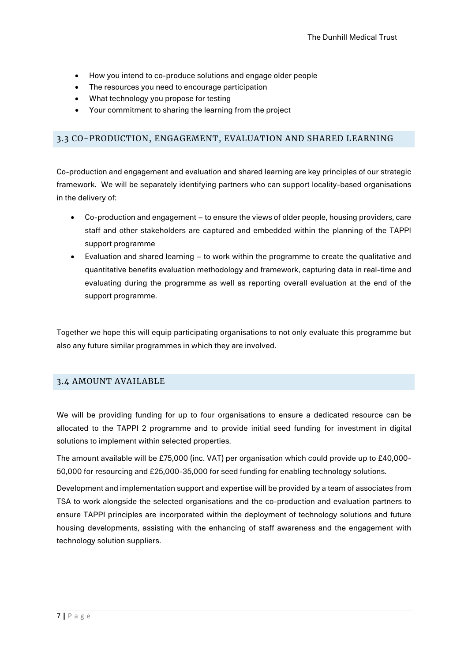- How you intend to co-produce solutions and engage older people
- The resources you need to encourage participation
- What technology you propose for testing
- Your commitment to sharing the learning from the project

## <span id="page-6-0"></span>3.3 CO-PRODUCTION, ENGAGEMENT, EVALUATION AND SHARED LEARNING

Co-production and engagement and evaluation and shared learning are key principles of our strategic framework. We will be separately identifying partners who can support locality-based organisations in the delivery of:

- Co-production and engagement to ensure the views of older people, housing providers, care staff and other stakeholders are captured and embedded within the planning of the TAPPI support programme
- Evaluation and shared learning to work within the programme to create the qualitative and quantitative benefits evaluation methodology and framework, capturing data in real-time and evaluating during the programme as well as reporting overall evaluation at the end of the support programme.

Together we hope this will equip participating organisations to not only evaluate this programme but also any future similar programmes in which they are involved.

#### <span id="page-6-1"></span>3.4 AMOUNT AVAILABLE

We will be providing funding for up to four organisations to ensure a dedicated resource can be allocated to the TAPPI 2 programme and to provide initial seed funding for investment in digital solutions to implement within selected properties.

The amount available will be £75,000 (inc. VAT) per organisation which could provide up to £40,000- 50,000 for resourcing and £25,000-35,000 for seed funding for enabling technology solutions.

Development and implementation support and expertise will be provided by a team of associates from TSA to work alongside the selected organisations and the co-production and evaluation partners to ensure TAPPI principles are incorporated within the deployment of technology solutions and future housing developments, assisting with the enhancing of staff awareness and the engagement with technology solution suppliers.